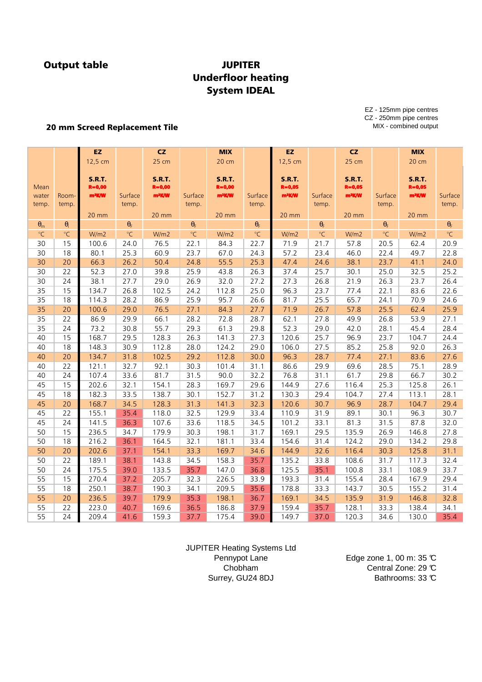## **JUPITER** Underfloor heating System IDEAL

20 mm Screed Replacement Tile

EZ - 125mm pipe centres CZ - 250mm pipe centres MIX - combined output

|                  |                   | EZ.                |                  | <b>CZ</b>          |                     | <b>MIX</b>         |                         | EZ.                |                         | CZ                 |                         | <b>MIX</b>         |                     |
|------------------|-------------------|--------------------|------------------|--------------------|---------------------|--------------------|-------------------------|--------------------|-------------------------|--------------------|-------------------------|--------------------|---------------------|
|                  |                   | 12,5 cm            |                  | 25 cm              |                     | 20 cm              |                         | 12,5 cm            |                         | 25 cm              |                         | 20 cm              |                     |
|                  |                   |                    |                  |                    |                     |                    |                         |                    |                         |                    |                         |                    |                     |
|                  |                   | <b>S.R.T.</b>      |                  | <b>S.R.T.</b>      |                     | <b>S.R.T.</b>      |                         | <b>S.R.T.</b>      |                         | <b>S.R.T.</b>      |                         | <b>S.R.T.</b>      |                     |
| Mean             |                   | $R = 0,00$         |                  | $R = 0,00$         |                     | $R = 0,00$         |                         | $R = 0,05$         |                         | $R = 0,05$         |                         | $R = 0,05$         |                     |
| water            | Room-<br>temp.    | m <sup>2</sup> K/W | Surface          | m <sup>2</sup> K/W | Surface             | m <sup>2</sup> K/W | Surface                 | m <sup>2</sup> K/W | Surface                 | m <sup>2</sup> K/W | Surface                 | m <sup>2</sup> K/W | Surface             |
| temp.            |                   |                    | temp.            |                    | temp.               |                    | temp.                   |                    | temp.                   |                    | temp.                   |                    | temp.               |
|                  |                   | 20 mm              |                  | 20 mm              |                     | 20 mm              |                         | <b>20 mm</b>       |                         | 20 mm              |                         | 20 mm              |                     |
| $\theta_{\rm m}$ | $\pmb{\theta}_i$  |                    | $\theta_{\rm F}$ |                    | $\Theta_{\text{F}}$ |                    | $\pmb{\theta}_\text{F}$ |                    | $\pmb{\theta}_\text{F}$ |                    | $\pmb{\theta}_\text{F}$ |                    | $\theta_{\text{F}}$ |
| $\circ$ C        | $^{\circ}{\rm C}$ | W/m2               | $\circ$ C        | W/m2               | $\circ$ C           | W/m2               | $\circ$ C               | W/m2               | $^{\circ}{\sf C}$       | W/m2               | $\circ$ C               | W/m2               | $\circ$ C           |
| 30               | 15                | 100.6              | 24.0             | 76.5               | 22.1                | 84.3               | 22.7                    | 71.9               | 21.7                    | 57.8               | 20.5                    | 62.4               | 20.9                |
| 30               | 18                | 80.1               | 25.3             | 60.9               | 23.7                | 67.0               | 24.3                    | 57.2               | 23.4                    | 46.0               | 22.4                    | 49.7               | 22.8                |
| 30               | 20                | 66.3               | 26.2             | 50.4               | 24.8                | 55.5               | 25.3                    | 47.4               | 24.6                    | 38.1               | 23.7                    | 41.1               | 24.0                |
| 30               | 22                | 52.3               | 27.0             | 39.8               | 25.9                | 43.8               | 26.3                    | 37.4               | 25.7                    | 30.1               | 25.0                    | 32.5               | 25.2                |
| 30               | 24                | 38.1               | 27.7             | 29.0               | 26.9                | 32.0               | 27.2                    | 27.3               | 26.8                    | 21.9               | 26.3                    | 23.7               | 26.4                |
| 35               | 15                | 134.7              | 26.8             | 102.5              | 24.2                | 112.8              | 25.0                    | 96.3               | 23.7                    | 77.4               | 22.1                    | 83.6               | 22.6                |
| 35               | 18                | 114.3              | 28.2             | 86.9               | 25.9                | 95.7               | 26.6                    | 81.7               | 25.5                    | 65.7               | 24.1                    | 70.9               | 24.6                |
| 35               | 20                | 100.6              | 29.0             | 76.5               | 27.1                | 84.3               | 27.7                    | 71.9               | 26.7                    | 57.8               | 25.5                    | 62.4               | 25.9                |
| 35               | 22                | 86.9               | 29.9             | 66.1               | 28.2                | 72.8               | 28.7                    | 62.1               | 27.8                    | 49.9               | 26.8                    | 53.9               | 27.1                |
| 35               | 24                | 73.2               | 30.8             | 55.7               | 29.3                | 61.3               | 29.8                    | 52.3               | 29.0                    | 42.0               | 28.1                    | 45.4               | 28.4                |
| 40               | 15                | 168.7              | 29.5             | 128.3              | 26.3                | 141.3              | 27.3                    | 120.6              | 25.7                    | 96.9               | 23.7                    | 104.7              | 24.4                |
| 40               | 18                | 148.3              | 30.9             | 112.8              | 28.0                | 124.2              | 29.0                    | 106.0              | 27.5                    | 85.2               | 25.8                    | 92.0               | 26.3                |
| 40               | 20                | 134.7              | 31.8             | 102.5              | 29.2                | 112.8              | 30.0                    | 96.3               | 28.7                    | 77.4               | 27.1                    | 83.6               | 27.6                |
| 40               | 22                | 121.1              | 32.7             | 92.1               | 30.3                | 101.4              | 31.1                    | 86.6               | 29.9                    | 69.6               | 28.5                    | 75.1               | 28.9                |
| 40               | 24                | 107.4              | 33.6             | 81.7               | 31.5                | 90.0               | 32.2                    | 76.8               | 31.1                    | 61.7               | 29.8                    | 66.7               | 30.2                |
| 45               | 15                | 202.6              | 32.1             | 154.1              | 28.3                | 169.7              | 29.6                    | 144.9              | 27.6                    | 116.4              | 25.3                    | 125.8              | 26.1                |
| 45               | 18                | 182.3              | 33.5             | 138.7              | 30.1                | 152.7              | 31.2                    | 130.3              | 29.4                    | 104.7              | 27.4                    | 113.1              | 28.1                |
| 45               | 20                | 168.7              | 34.5             | 128.3              | 31.3                | 141.3              | 32.3                    | 120.6              | 30.7                    | 96.9               | 28.7                    | 104.7              | 29.4                |
| 45               | 22                | 155.1              | 35.4             | 118.0              | 32.5                | 129.9              | 33.4                    | 110.9              | 31.9                    | 89.1               | 30.1                    | 96.3               | 30.7                |
| 45               | 24                | 141.5              | 36.3             | 107.6              | 33.6                | 118.5              | 34.5                    | 101.2              | 33.1                    | 81.3               | 31.5                    | 87.8               | 32.0                |
| 50               | 15                | 236.5              | 34.7             | 179.9              | 30.3                | 198.1              | 31.7                    | 169.1              | 29.5                    | 135.9              | 26.9                    | 146.8              | 27.8                |
| 50               | 18                | 216.2              | 36.1             | 164.5              | 32.1                | 181.1              | 33.4                    | 154.6              | 31.4                    | 124.2              | 29.0                    | 134.2              | 29.8                |
| 50               | 20                | 202.6              | 37.1             | 154.1              | 33.3                | 169.7              | 34.6                    | 144.9              | 32.6                    | 116.4              | 30.3                    | 125.8              | 31.1                |
| 50               | 22                | 189.1              | 38.1             | 143.8              | 34.5                | 158.3              | 35.7                    | 135.2              | 33.8                    | 108.6              | 31.7                    | 117.3              | 32.4                |
| 50               | 24                | 175.5              | 39.0             | 133.5              | 35.7                | 147.0              | 36.8                    | 125.5              | 35.1                    | 100.8              | 33.1                    | 108.9              | 33.7                |
| 55               | 15                | 270.4              | 37.2             | 205.7              | 32.3                | 226.5              | 33.9                    | 193.3              | 31.4                    | 155.4              | 28.4                    | 167.9              | 29.4                |
| 55               | 18                | 250.1              | 38.7             | 190.3              | 34.1                | 209.5              | 35.6                    | 178.8              | 33.3                    | 143.7              | 30.5                    | 155.2              | 31.4                |
| 55               | 20                | 236.5              | 39.7             | 179.9              | 35.3                | 198.1              | 36.7                    | 169.1              | 34.5                    | 135.9              | 31.9                    | 146.8              | 32.8                |
| 55               | 22                | 223.0              | 40.7             | 169.6              | 36.5                | 186.8              | 37.9                    | 159.4              | 35.7                    | 128.1              | 33.3                    | 138.4              | 34.1                |
| 55               | 24                | 209.4              | 41.6             | 159.3              | 37.7                | 175.4              | 39.0                    | 149.7              | 37.0                    | 120.3              | 34.6                    | 130.0              | 35.4                |

JUPITER Heating Systems Ltd Pennypot Lane Chobham Surrey, GU24 8DJ

Edge zone 1, 00 m: 35  $\mathbb C$ Central Zone: 29 °C Bathrooms: 33 °C